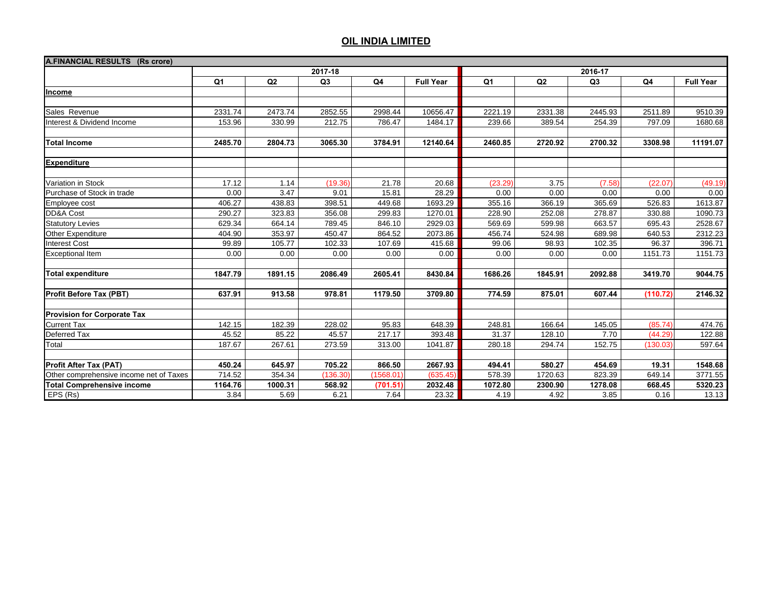| A.FINANCIAL RESULTS (Rs crore)          |         |         |                |           |                  |                |         |                |          |                  |  |
|-----------------------------------------|---------|---------|----------------|-----------|------------------|----------------|---------|----------------|----------|------------------|--|
|                                         |         |         | 2017-18        |           | 2016-17          |                |         |                |          |                  |  |
|                                         | Q1      | Q2      | Q <sub>3</sub> | Q4        | <b>Full Year</b> | Q <sub>1</sub> | Q2      | Q <sub>3</sub> | Q4       | <b>Full Year</b> |  |
| Income                                  |         |         |                |           |                  |                |         |                |          |                  |  |
|                                         |         |         |                |           |                  |                |         |                |          |                  |  |
| Sales Revenue                           | 2331.74 | 2473.74 | 2852.55        | 2998.44   | 10656.47         | 2221.19        | 2331.38 | 2445.93        | 2511.89  | 9510.39          |  |
| Interest & Dividend Income              | 153.96  | 330.99  | 212.75         | 786.47    | 1484.17          | 239.66         | 389.54  | 254.39         | 797.09   | 1680.68          |  |
| <b>Total Income</b>                     | 2485.70 | 2804.73 | 3065.30        | 3784.91   | 12140.64         | 2460.85        | 2720.92 | 2700.32        | 3308.98  | 11191.07         |  |
| <b>Expenditure</b>                      |         |         |                |           |                  |                |         |                |          |                  |  |
| Variation in Stock                      | 17.12   | 1.14    | (19.36)        | 21.78     | 20.68            | (23.29)        | 3.75    | (7.58)         | (22.07)  | (49.19)          |  |
| Purchase of Stock in trade              | 0.00    | 3.47    | 9.01           | 15.81     | 28.29            | 0.00           | 0.00    | 0.00           | 0.00     | 0.00             |  |
| Employee cost                           | 406.27  | 438.83  | 398.51         | 449.68    | 1693.29          | 355.16         | 366.19  | 365.69         | 526.83   | 1613.87          |  |
| DD&A Cost                               | 290.27  | 323.83  | 356.08         | 299.83    | 1270.01          | 228.90         | 252.08  | 278.87         | 330.88   | 1090.73          |  |
| <b>Statutory Levies</b>                 | 629.34  | 664.14  | 789.45         | 846.10    | 2929.03          | 569.69         | 599.98  | 663.57         | 695.43   | 2528.67          |  |
| Other Expenditure                       | 404.90  | 353.97  | 450.47         | 864.52    | 2073.86          | 456.74         | 524.98  | 689.98         | 640.53   | 2312.23          |  |
| <b>Interest Cost</b>                    | 99.89   | 105.77  | 102.33         | 107.69    | 415.68           | 99.06          | 98.93   | 102.35         | 96.37    | 396.71           |  |
| <b>Exceptional Item</b>                 | 0.00    | 0.00    | 0.00           | 0.00      | 0.00             | 0.00           | 0.00    | 0.00           | 1151.73  | 1151.73          |  |
| <b>Total expenditure</b>                | 1847.79 | 1891.15 | 2086.49        | 2605.41   | 8430.84          | 1686.26        | 1845.91 | 2092.88        | 3419.70  | 9044.75          |  |
| Profit Before Tax (PBT)                 | 637.91  | 913.58  | 978.81         | 1179.50   | 3709.80          | 774.59         | 875.01  | 607.44         | (110.72) | 2146.32          |  |
| <b>Provision for Corporate Tax</b>      |         |         |                |           |                  |                |         |                |          |                  |  |
| <b>Current Tax</b>                      | 142.15  | 182.39  | 228.02         | 95.83     | 648.39           | 248.81         | 166.64  | 145.05         | (85.74)  | 474.76           |  |
| <b>Deferred Tax</b>                     | 45.52   | 85.22   | 45.57          | 217.17    | 393.48           | 31.37          | 128.10  | 7.70           | (44.29)  | 122.88           |  |
| Total                                   | 187.67  | 267.61  | 273.59         | 313.00    | 1041.87          | 280.18         | 294.74  | 152.75         | (130.03) | 597.64           |  |
| <b>Profit After Tax (PAT)</b>           | 450.24  | 645.97  | 705.22         | 866.50    | 2667.93          | 494.41         | 580.27  | 454.69         | 19.31    | 1548.68          |  |
| Other comprehensive income net of Taxes | 714.52  | 354.34  | (136.30)       | (1568.01) | (635.45)         | 578.39         | 1720.63 | 823.39         | 649.14   | 3771.55          |  |
| <b>Total Comprehensive income</b>       | 1164.76 | 1000.31 | 568.92         | (701.51)  | 2032.48          | 1072.80        | 2300.90 | 1278.08        | 668.45   | 5320.23          |  |
| EPS (Rs)                                | 3.84    | 5.69    | 6.21           | 7.64      | 23.32            | 4.19           | 4.92    | 3.85           | 0.16     | 13.13            |  |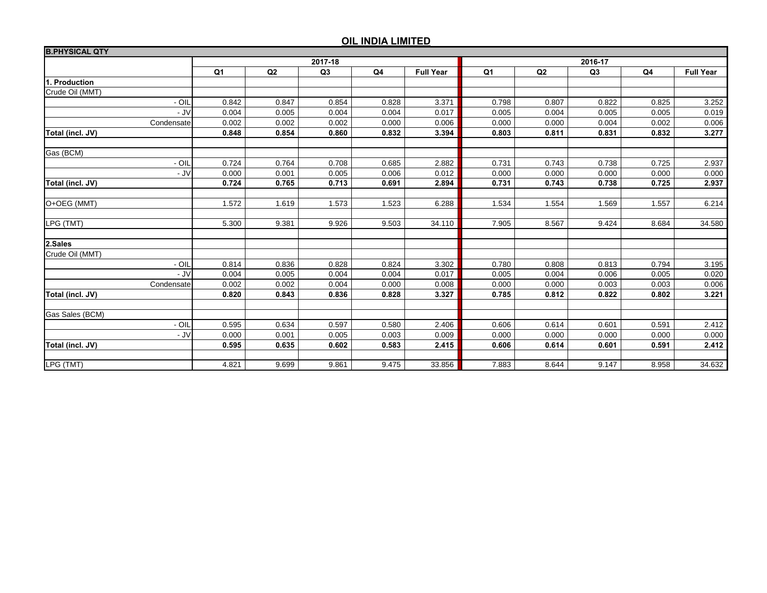| <b>B.PHYSICAL QTY</b> |                |       |                |       |                  |                |       |       |       |                  |  |  |
|-----------------------|----------------|-------|----------------|-------|------------------|----------------|-------|-------|-------|------------------|--|--|
|                       |                |       | 2017-18        |       |                  | 2016-17        |       |       |       |                  |  |  |
|                       | Q <sub>1</sub> | Q2    | Q <sub>3</sub> | Q4    | <b>Full Year</b> | Q <sub>1</sub> | Q2    | Q3    | Q4    | <b>Full Year</b> |  |  |
| 1. Production         |                |       |                |       |                  |                |       |       |       |                  |  |  |
| Crude Oil (MMT)       |                |       |                |       |                  |                |       |       |       |                  |  |  |
| - OIL                 | 0.842          | 0.847 | 0.854          | 0.828 | 3.371            | 0.798          | 0.807 | 0.822 | 0.825 | 3.252            |  |  |
| $-JV$                 | 0.004          | 0.005 | 0.004          | 0.004 | 0.017            | 0.005          | 0.004 | 0.005 | 0.005 | 0.019            |  |  |
| Condensate            | 0.002          | 0.002 | 0.002          | 0.000 | 0.006            | 0.000          | 0.000 | 0.004 | 0.002 | 0.006            |  |  |
| Total (incl. JV)      | 0.848          | 0.854 | 0.860          | 0.832 | 3.394            | 0.803          | 0.811 | 0.831 | 0.832 | 3.277            |  |  |
| Gas (BCM)             |                |       |                |       |                  |                |       |       |       |                  |  |  |
| - OIL                 | 0.724          | 0.764 | 0.708          | 0.685 | 2.882            | 0.731          | 0.743 | 0.738 | 0.725 | 2.937            |  |  |
| $-JV$                 | 0.000          | 0.001 | 0.005          | 0.006 | 0.012            | 0.000          | 0.000 | 0.000 | 0.000 | 0.000            |  |  |
| Total (incl. JV)      | 0.724          | 0.765 | 0.713          | 0.691 | 2.894            | 0.731          | 0.743 | 0.738 | 0.725 | 2.937            |  |  |
| O+OEG (MMT)           | 1.572          | 1.619 | 1.573          | 1.523 | 6.288            | 1.534          | 1.554 | 1.569 | 1.557 | 6.214            |  |  |
| LPG (TMT)             | 5.300          | 9.381 | 9.926          | 9.503 | 34.110           | 7.905          | 8.567 | 9.424 | 8.684 | 34.580           |  |  |
|                       |                |       |                |       |                  |                |       |       |       |                  |  |  |
| 2.Sales               |                |       |                |       |                  |                |       |       |       |                  |  |  |
| Crude Oil (MMT)       |                |       |                |       |                  |                |       |       |       |                  |  |  |
| - OIL                 | 0.814          | 0.836 | 0.828          | 0.824 | 3.302            | 0.780          | 0.808 | 0.813 | 0.794 | 3.195            |  |  |
| $-JV$                 | 0.004          | 0.005 | 0.004          | 0.004 | 0.017            | 0.005          | 0.004 | 0.006 | 0.005 | 0.020            |  |  |
| Condensate            | 0.002          | 0.002 | 0.004          | 0.000 | 0.008            | 0.000          | 0.000 | 0.003 | 0.003 | 0.006            |  |  |
| Total (incl. JV)      | 0.820          | 0.843 | 0.836          | 0.828 | 3.327            | 0.785          | 0.812 | 0.822 | 0.802 | 3.221            |  |  |
| Gas Sales (BCM)       |                |       |                |       |                  |                |       |       |       |                  |  |  |
| - OIL                 | 0.595          | 0.634 | 0.597          | 0.580 | 2.406            | 0.606          | 0.614 | 0.601 | 0.591 | 2.412            |  |  |
| $-JV$                 | 0.000          | 0.001 | 0.005          | 0.003 | 0.009            | 0.000          | 0.000 | 0.000 | 0.000 | 0.000            |  |  |
| Total (incl. JV)      | 0.595          | 0.635 | 0.602          | 0.583 | 2.415            | 0.606          | 0.614 | 0.601 | 0.591 | 2.412            |  |  |
|                       |                |       |                |       |                  |                |       |       |       |                  |  |  |
| LPG (TMT)             | 4.821          | 9.699 | 9.861          | 9.475 | 33.856           | 7.883          | 8.644 | 9.147 | 8.958 | 34.632           |  |  |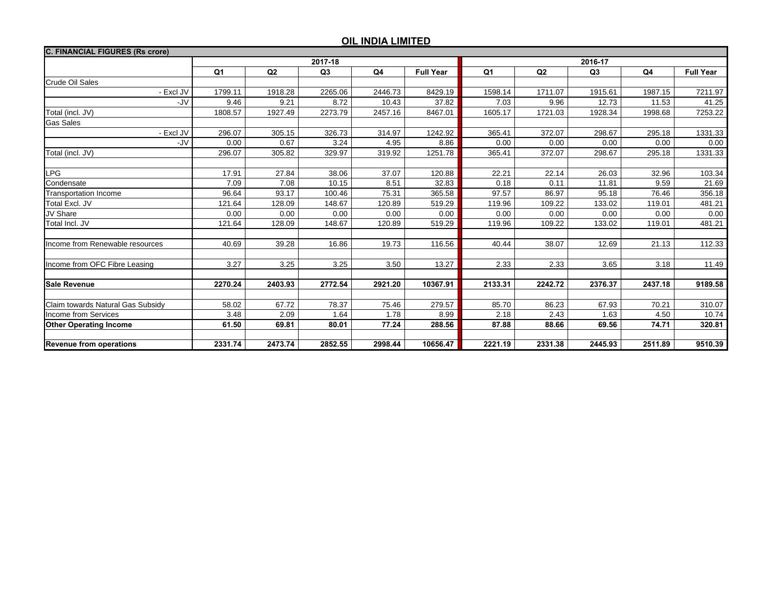| <b>C. FINANCIAL FIGURES (Rs crore)</b> |                |         |         |                |                  |                |                |         |                |                  |  |
|----------------------------------------|----------------|---------|---------|----------------|------------------|----------------|----------------|---------|----------------|------------------|--|
|                                        |                |         | 2017-18 |                |                  | 2016-17        |                |         |                |                  |  |
|                                        | Q <sub>1</sub> | Q2      | Q3      | Q <sub>4</sub> | <b>Full Year</b> | Q <sub>1</sub> | Q <sub>2</sub> | Q3      | Q <sub>4</sub> | <b>Full Year</b> |  |
| <b>Crude Oil Sales</b>                 |                |         |         |                |                  |                |                |         |                |                  |  |
| - Excl JV                              | 1799.11        | 1918.28 | 2265.06 | 2446.73        | 8429.19          | 1598.14        | 1711.07        | 1915.61 | 1987.15        | 7211.97          |  |
| -JV                                    | 9.46           | 9.21    | 8.72    | 10.43          | 37.82            | 7.03           | 9.96           | 12.73   | 11.53          | 41.25            |  |
| Total (incl. JV)                       | 1808.57        | 1927.49 | 2273.79 | 2457.16        | 8467.01          | 1605.17        | 1721.03        | 1928.34 | 1998.68        | 7253.22          |  |
| <b>Gas Sales</b>                       |                |         |         |                |                  |                |                |         |                |                  |  |
| - Excl JV                              | 296.07         | 305.15  | 326.73  | 314.97         | 1242.92          | 365.41         | 372.07         | 298.67  | 295.18         | 1331.33          |  |
| -JV                                    | 0.00           | 0.67    | 3.24    | 4.95           | 8.86             | 0.00           | 0.00           | 0.00    | 0.00           | 0.00             |  |
| Total (incl. JV)                       | 296.07         | 305.82  | 329.97  | 319.92         | 1251.78          | 365.41         | 372.07         | 298.67  | 295.18         | 1331.33          |  |
|                                        |                |         |         |                |                  |                |                |         |                |                  |  |
| <b>LPG</b>                             | 17.91          | 27.84   | 38.06   | 37.07          | 120.88           | 22.21          | 22.14          | 26.03   | 32.96          | 103.34           |  |
| Condensate                             | 7.09           | 7.08    | 10.15   | 8.51           | 32.83            | 0.18           | 0.11           | 11.81   | 9.59           | 21.69            |  |
| <b>Transportation Income</b>           | 96.64          | 93.17   | 100.46  | 75.31          | 365.58           | 97.57          | 86.97          | 95.18   | 76.46          | 356.18           |  |
| Total Excl. JV                         | 121.64         | 128.09  | 148.67  | 120.89         | 519.29           | 119.96         | 109.22         | 133.02  | 119.01         | 481.21           |  |
| JV Share                               | 0.00           | 0.00    | 0.00    | 0.00           | 0.00             | 0.00           | 0.00           | 0.00    | 0.00           | 0.00             |  |
| Total Incl. JV                         | 121.64         | 128.09  | 148.67  | 120.89         | 519.29           | 119.96         | 109.22         | 133.02  | 119.01         | 481.21           |  |
|                                        |                |         |         |                |                  |                |                |         |                |                  |  |
| Income from Renewable resources        | 40.69          | 39.28   | 16.86   | 19.73          | 116.56           | 40.44          | 38.07          | 12.69   | 21.13          | 112.33           |  |
|                                        |                |         |         |                |                  |                |                |         |                |                  |  |
| Income from OFC Fibre Leasing          | 3.27           | 3.25    | 3.25    | 3.50           | 13.27            | 2.33           | 2.33           | 3.65    | 3.18           | 11.49            |  |
|                                        |                |         |         |                |                  |                |                |         |                |                  |  |
| <b>Sale Revenue</b>                    | 2270.24        | 2403.93 | 2772.54 | 2921.20        | 10367.91         | 2133.31        | 2242.72        | 2376.37 | 2437.18        | 9189.58          |  |
|                                        |                |         |         |                |                  |                |                |         |                |                  |  |
| Claim towards Natural Gas Subsidy      | 58.02          | 67.72   | 78.37   | 75.46          | 279.57           | 85.70          | 86.23          | 67.93   | 70.21          | 310.07           |  |
| <b>Income from Services</b>            | 3.48           | 2.09    | 1.64    | 1.78           | 8.99             | 2.18           | 2.43           | 1.63    | 4.50           | 10.74            |  |
| <b>Other Operating Income</b>          | 61.50          | 69.81   | 80.01   | 77.24          | 288.56           | 87.88          | 88.66          | 69.56   | 74.71          | 320.81           |  |
|                                        |                |         |         |                |                  |                |                |         |                |                  |  |
| <b>Revenue from operations</b>         | 2331.74        | 2473.74 | 2852.55 | 2998.44        | 10656.47         | 2221.19        | 2331.38        | 2445.93 | 2511.89        | 9510.39          |  |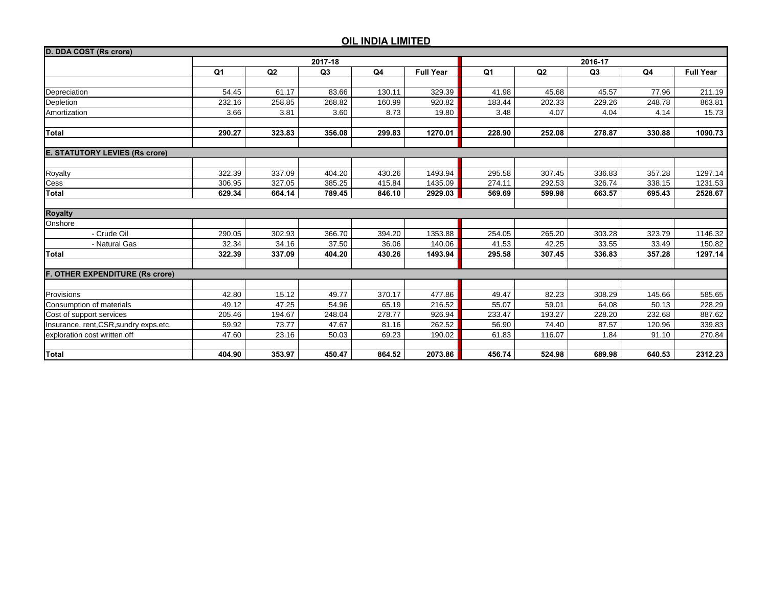| D. DDA COST (Rs crore)                 |                |         |        |                |                  |                |        |                |                |                  |
|----------------------------------------|----------------|---------|--------|----------------|------------------|----------------|--------|----------------|----------------|------------------|
|                                        |                | 2016-17 |        |                |                  |                |        |                |                |                  |
|                                        | Q <sub>1</sub> | Q2      | Q3     | Q <sub>4</sub> | <b>Full Year</b> | Q <sub>1</sub> | Q2     | Q <sub>3</sub> | Q <sub>4</sub> | <b>Full Year</b> |
|                                        |                |         |        |                |                  |                |        |                |                |                  |
| Depreciation                           | 54.45          | 61.17   | 83.66  | 130.11         | 329.39           | 41.98          | 45.68  | 45.57          | 77.96          | 211.19           |
| Depletion                              | 232.16         | 258.85  | 268.82 | 160.99         | 920.82           | 183.44         | 202.33 | 229.26         | 248.78         | 863.81           |
| Amortization                           | 3.66           | 3.81    | 3.60   | 8.73           | 19.80            | 3.48           | 4.07   | 4.04           | 4.14           | 15.73            |
|                                        |                |         |        |                |                  |                |        |                |                |                  |
| <b>Total</b>                           | 290.27         | 323.83  | 356.08 | 299.83         | 1270.01          | 228.90         | 252.08 | 278.87         | 330.88         | 1090.73          |
| <b>E. STATUTORY LEVIES (Rs crore)</b>  |                |         |        |                |                  |                |        |                |                |                  |
|                                        |                |         |        |                |                  |                |        |                |                |                  |
| Royalty                                | 322.39         | 337.09  | 404.20 | 430.26         | 1493.94          | 295.58         | 307.45 | 336.83         | 357.28         | 1297.14          |
| Cess                                   | 306.95         | 327.05  | 385.25 | 415.84         | 1435.09          | 274.11         | 292.53 | 326.74         | 338.15         | 1231.53          |
| <b>Total</b>                           | 629.34         | 664.14  | 789.45 | 846.10         | 2929.03          | 569.69         | 599.98 | 663.57         | 695.43         | 2528.67          |
|                                        |                |         |        |                |                  |                |        |                |                |                  |
| <b>Royalty</b>                         |                |         |        |                |                  |                |        |                |                |                  |
| Onshore                                |                |         |        |                |                  |                |        |                |                |                  |
| - Crude Oil                            | 290.05         | 302.93  | 366.70 | 394.20         | 1353.88          | 254.05         | 265.20 | 303.28         | 323.79         | 1146.32          |
| - Natural Gas                          | 32.34          | 34.16   | 37.50  | 36.06          | 140.06           | 41.53          | 42.25  | 33.55          | 33.49          | 150.82           |
| <b>Total</b>                           | 322.39         | 337.09  | 404.20 | 430.26         | 1493.94          | 295.58         | 307.45 | 336.83         | 357.28         | 1297.14          |
| <b>F. OTHER EXPENDITURE (Rs crore)</b> |                |         |        |                |                  |                |        |                |                |                  |
|                                        |                |         |        |                |                  |                |        |                |                |                  |
| Provisions                             | 42.80          | 15.12   | 49.77  | 370.17         | 477.86           | 49.47          | 82.23  | 308.29         | 145.66         | 585.65           |
| Consumption of materials               | 49.12          | 47.25   | 54.96  | 65.19          | 216.52           | 55.07          | 59.01  | 64.08          | 50.13          | 228.29           |
| Cost of support services               | 205.46         | 194.67  | 248.04 | 278.77         | 926.94           | 233.47         | 193.27 | 228.20         | 232.68         | 887.62           |
| Insurance, rent, CSR, sundry exps.etc. | 59.92          | 73.77   | 47.67  | 81.16          | 262.52           | 56.90          | 74.40  | 87.57          | 120.96         | 339.83           |
| exploration cost written off           | 47.60          | 23.16   | 50.03  | 69.23          | 190.02           | 61.83          | 116.07 | 1.84           | 91.10          | 270.84           |
|                                        |                |         |        |                |                  |                |        |                |                |                  |
| <b>Total</b>                           | 404.90         | 353.97  | 450.47 | 864.52         | 2073.86          | 456.74         | 524.98 | 689.98         | 640.53         | 2312.23          |